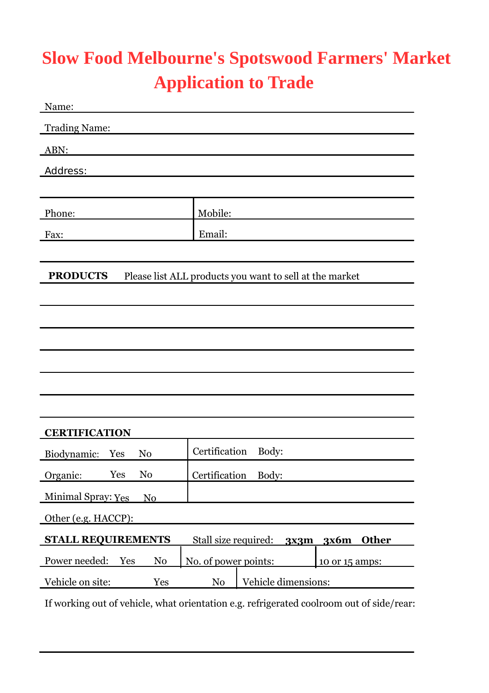#### **Slow Food Melbourne's Spotswood Farmers' Market Application to Trade**

| Name:                                  |                                                         |
|----------------------------------------|---------------------------------------------------------|
| <b>Trading Name:</b>                   |                                                         |
| ABN:                                   |                                                         |
| Address:                               |                                                         |
|                                        |                                                         |
| Phone:                                 | Mobile:                                                 |
| Fax:                                   | Email:                                                  |
|                                        |                                                         |
| <b>PRODUCTS</b>                        | Please list ALL products you want to sell at the market |
|                                        |                                                         |
|                                        |                                                         |
|                                        |                                                         |
|                                        |                                                         |
|                                        |                                                         |
|                                        |                                                         |
| <b>CERTIFICATION</b>                   |                                                         |
| Biodynamic:<br>Yes<br>N <sub>0</sub>   | Certification<br>Body:                                  |
| Organic:<br>Yes<br>No                  | Certification<br>Body:                                  |
| <b>Minimal Spray: Yes</b><br>No        |                                                         |
| Other (e.g. HACCP):                    |                                                         |
| <b>STALL REQUIREMENTS</b>              | Stall size required:<br>3x6m<br><b>Other</b><br>3x3m    |
| Power needed:<br>N <sub>0</sub><br>Yes | No. of power points:<br>10 or 15 amps:                  |
| Vehicle on site:<br>Yes                | Vehicle dimensions:<br>N <sub>0</sub>                   |
|                                        |                                                         |

If working out of vehicle, what orientation e.g. refrigerated coolroom out of side/rear: